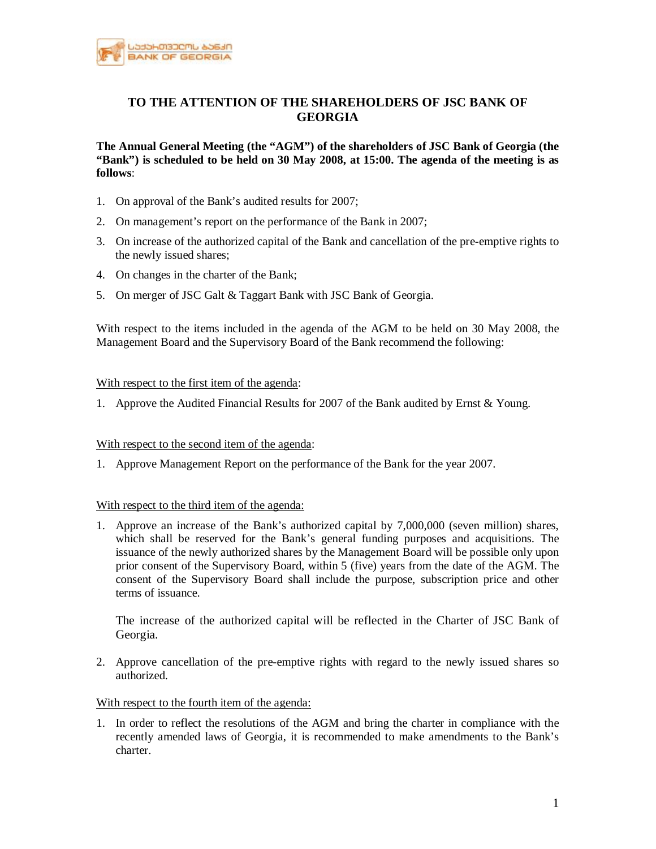

# **TO THE ATTENTION OF THE SHAREHOLDERS OF JSC BANK OF GEORGIA**

**The Annual General Meeting (the "AGM") of the shareholders of JSC Bank of Georgia (the "Bank") is scheduled to be held on 30 May 2008, at 15:00. The agenda of the meeting is as follows**:

- 1. On approval of the Bank's audited results for 2007;
- 2. On management's report on the performance of the Bank in 2007;
- 3. On increase of the authorized capital of the Bank and cancellation of the pre-emptive rights to the newly issued shares;
- 4. On changes in the charter of the Bank;
- 5. On merger of JSC Galt & Taggart Bank with JSC Bank of Georgia.

With respect to the items included in the agenda of the AGM to be held on 30 May 2008, the Management Board and the Supervisory Board of the Bank recommend the following:

#### With respect to the first item of the agenda:

1. Approve the Audited Financial Results for 2007 of the Bank audited by Ernst & Young.

#### With respect to the second item of the agenda:

1. Approve Management Report on the performance of the Bank for the year 2007.

#### With respect to the third item of the agenda:

1. Approve an increase of the Bank's authorized capital by 7,000,000 (seven million) shares, which shall be reserved for the Bank's general funding purposes and acquisitions. The issuance of the newly authorized shares by the Management Board will be possible only upon prior consent of the Supervisory Board, within 5 (five) years from the date of the AGM. The consent of the Supervisory Board shall include the purpose, subscription price and other terms of issuance.

The increase of the authorized capital will be reflected in the Charter of JSC Bank of Georgia.

2. Approve cancellation of the pre-emptive rights with regard to the newly issued shares so authorized.

## With respect to the fourth item of the agenda:

1. In order to reflect the resolutions of the AGM and bring the charter in compliance with the recently amended laws of Georgia, it is recommended to make amendments to the Bank's charter.